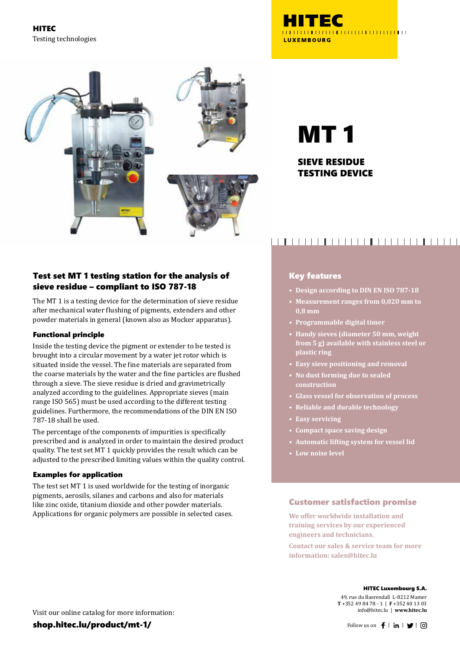HITEC Testing technologies





MT 1

### SIEVE RESIDUE TESTING DEVICE

### Test set MT 1 testing station for the analysis of sieve residue – compliant to ISO 787-18

The MT 1 is a testing device for the determination of sieve residue after mechanical water flushing of pigments, extenders and other powder materials in general (known also as Mocker apparatus).

### Functional principle

Inside the testing device the pigment or extender to be tested is brought into a circular movement by a water jet rotor which is situated inside the vessel. The fine materials are separated from the coarse materials by the water and the fine particles are flushed through a sieve. The sieve residue is dried and gravimetrically analyzed according to the guidelines. Appropriate sieves (main range ISO 565) must be used according to the different testing guidelines. Furthermore, the recommendations of the DIN EN ISO 787-18 shall be used.

The percentage of the components of impurities is specifically prescribed and is analyzed in order to maintain the desired product quality. The test set MT 1 quickly provides the result which can be adjusted to the prescribed limiting values within the quality control.

### Examples for application

The test set MT 1 is used worldwide for the testing of inorganic pigments, aerosils, silanes and carbons and also for materials like zinc oxide, titanium dioxide and other powder materials. Applications for organic polymers are possible in selected cases.

# 

### Key features

- **• Design according to DIN EN ISO 787-18**
- **• Measurement ranges from 0,020 mm to 0,8 mm**
- **• Programmable digital timer**
- **• Handy sieves (diameter 50 mm, weight from 5 g) available with stainless steel or plastic ring**
- **• Easy sieve positioning and removal**
- **• No dust forming due to sealed construction**
- **• Glass vessel for observation of process**
- **• Reliable and durable technology**
- **• Easy servicing**
- **• Compact space saving design**
- **• Automatic lifting system for vessel lid**
- **• Low noise level**

### Customer satisfaction promise

**We offer worldwide installation and training services by our experienced engineers and technicians.**

**Contact our sales & service team for more information: sales@hitec.lu**

#### HITEC Luxembourg S.A.

49, rue du Baerendall L-8212 Mamer **T** +352 49 84 78 - 1 | **F** +352 40 13 03 info@hitec.lu | **www.hitec.lu**

Visit our online catalog for more information: shop.hitec.lu/product/mt-1/